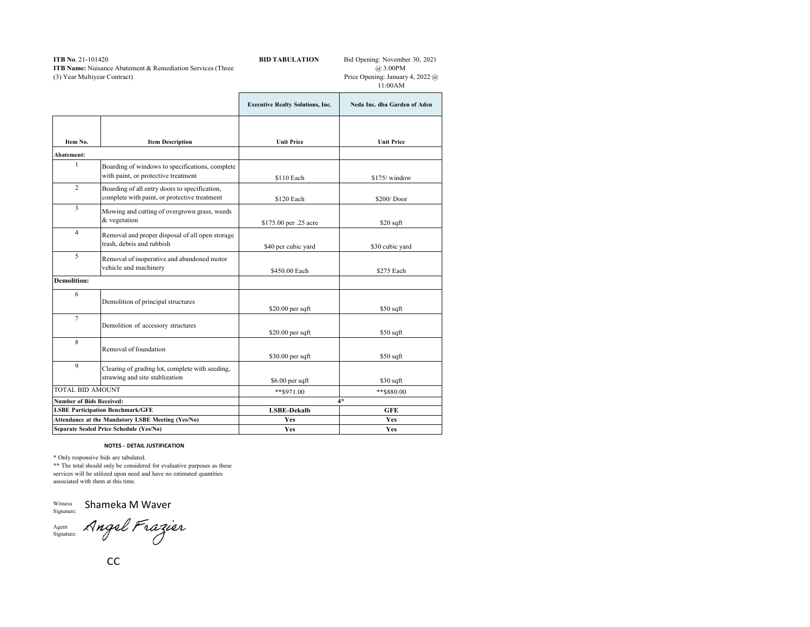## **ITB No**. 21-101420 **ITB Name:** Nuisance Abatement & Remediation Services (Three (3) Year Multiyear Contract)

**BID TABULATION** Bid Opening: November 30, 2021 @ 3:00PM Price Opening: January 4, 2022 @

|                                                                                              |                                                                                               |                                         | 11:00AM                      |
|----------------------------------------------------------------------------------------------|-----------------------------------------------------------------------------------------------|-----------------------------------------|------------------------------|
|                                                                                              |                                                                                               | <b>Executive Realty Solutions, Inc.</b> | Neda Inc. dba Garden of Aden |
| Item No.                                                                                     | <b>Item Description</b>                                                                       | <b>Unit Price</b>                       | <b>Unit Price</b>            |
| Abatement:                                                                                   |                                                                                               |                                         |                              |
| 1                                                                                            | Boarding of windows to specifications, complete<br>with paint, or protective treatment        | \$110 Each                              | \$175/window                 |
| $\overline{c}$                                                                               | Boarding of all entry doors to specification,<br>complete with paint, or protective treatment | \$120 Each                              | \$200/Door                   |
| 3                                                                                            | Mowing and cutting of overgrown grass, weeds<br>& vegetation                                  | \$175.00 per .25 acre                   | $$20$ sqft                   |
| $\overline{4}$                                                                               | Removal and proper disposal of all open storage<br>trash, debris and rubbish                  | \$40 per cubic yard                     | \$30 cubic yard              |
| 5                                                                                            | Removal of inoperative and abandoned motor<br>vehicle and machinery                           | \$450.00 Each                           | \$275 Each                   |
| <b>Demolition:</b>                                                                           |                                                                                               |                                         |                              |
| 6                                                                                            | Demolition of principal structures                                                            | $$20.00$ per sqft                       | $$50$ sqft                   |
| $\tau$                                                                                       | Demolition of accessory structures                                                            | $$20.00$ per sqft                       | $$50$ sqft                   |
| 8                                                                                            | Removal of foundation                                                                         | $$30.00$ per sqft                       | $$50$ sqft                   |
| 9                                                                                            | Clearing of grading lot, complete with seeding,<br>strawing and site stablization             | $$6.00$ per sqft                        | $$30$ sqft                   |
| TOTAL BID AMOUNT                                                                             |                                                                                               | $***$ \$971.00                          | **\$880.00                   |
| <b>Number of Bids Received:</b>                                                              |                                                                                               | $4*$                                    |                              |
| <b>LSBE Participation Benchmark/GFE</b>                                                      |                                                                                               | <b>LSBE-Dekalb</b>                      | <b>GFE</b>                   |
| Attendance at the Mandatory LSBE Meeting (Yes/No)<br>Separate Sealed Price Schedule (Yes/No) |                                                                                               | Yes<br>Yes                              | Yes<br><b>Yes</b>            |
|                                                                                              |                                                                                               |                                         |                              |

## **NOTES - DETAIL JUSTIFICATION**

\* Only responsive bids are tabulated. \*\* The total should only be considered for evaluative purposes as these services will be utilized upon need and have no estimated quantities associated with them at this time.

Witness Signature: Shameka M Waver

Agent Signature: